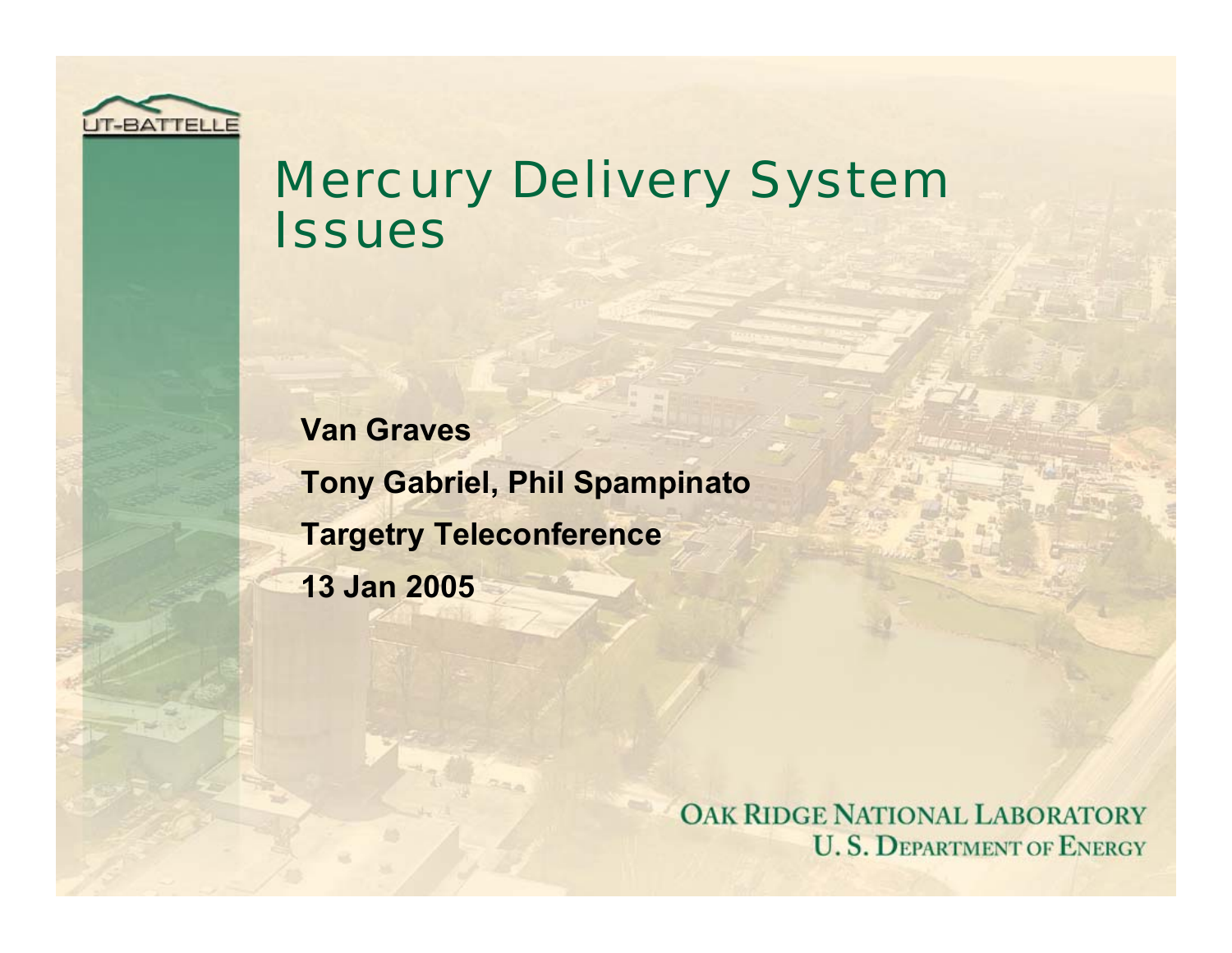

### Mercury Delivery System **Issues**

**Van Graves Tony Gabriel, Phil Spampinato Targetry Teleconference 13 Jan 2005**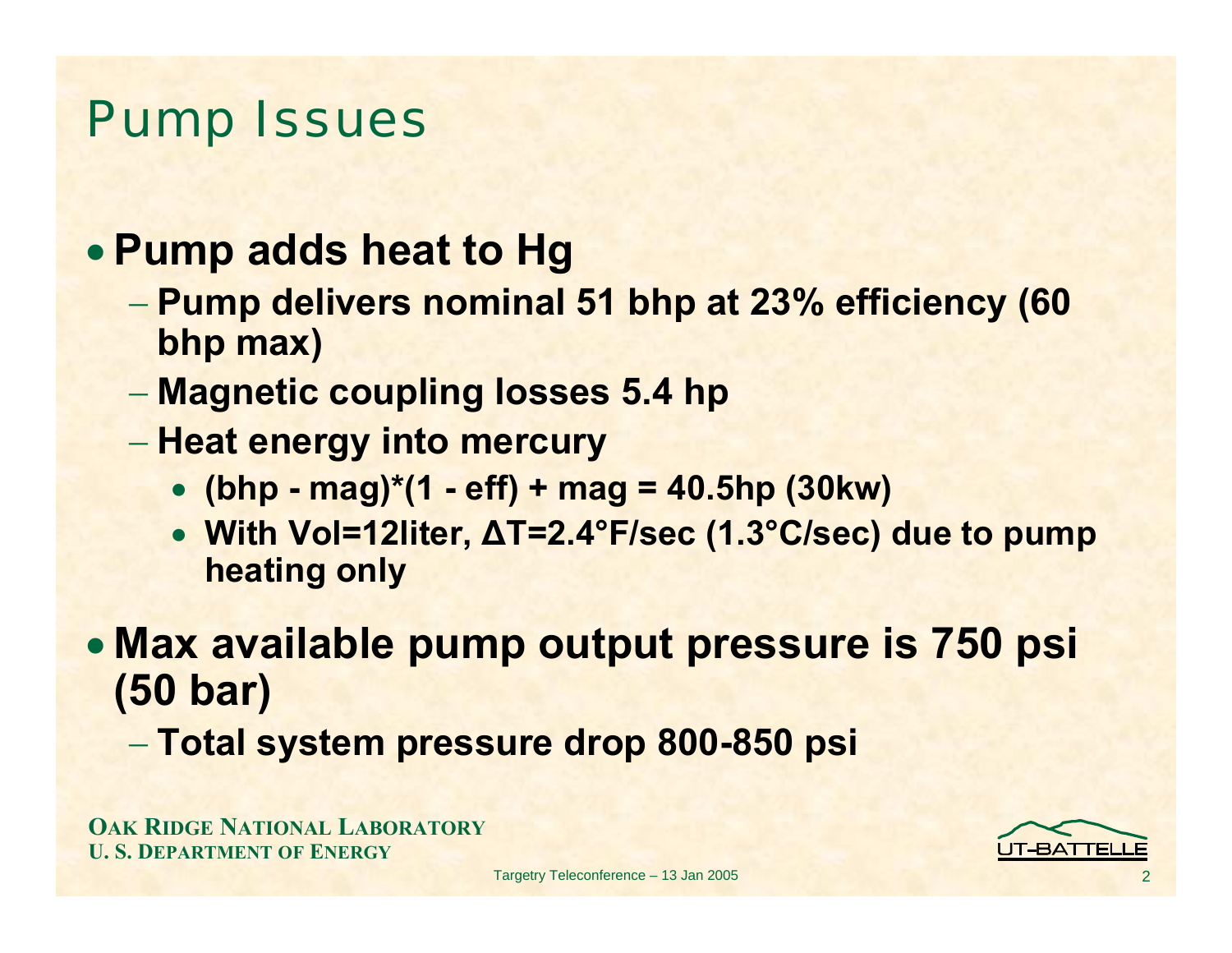### Pump Issues

#### • **Pump adds heat to Hg**

- **Pump delivers nominal 51 bhp at 23% efficiency (60 bhp max)**
- **Magnetic coupling losses 5.4 hp**
- **Heat energy into mercury**
	- **(bhp - mag)\*(1 - eff) + mag = 40.5hp (30kw)**
	- **With Vol=12liter, ∆T=2.4°F/sec (1.3°C/sec) due to pump heating only**

• **Max available pump output pressure is 750 psi (50 bar)**

**Total system pressure drop 800-850 psi**

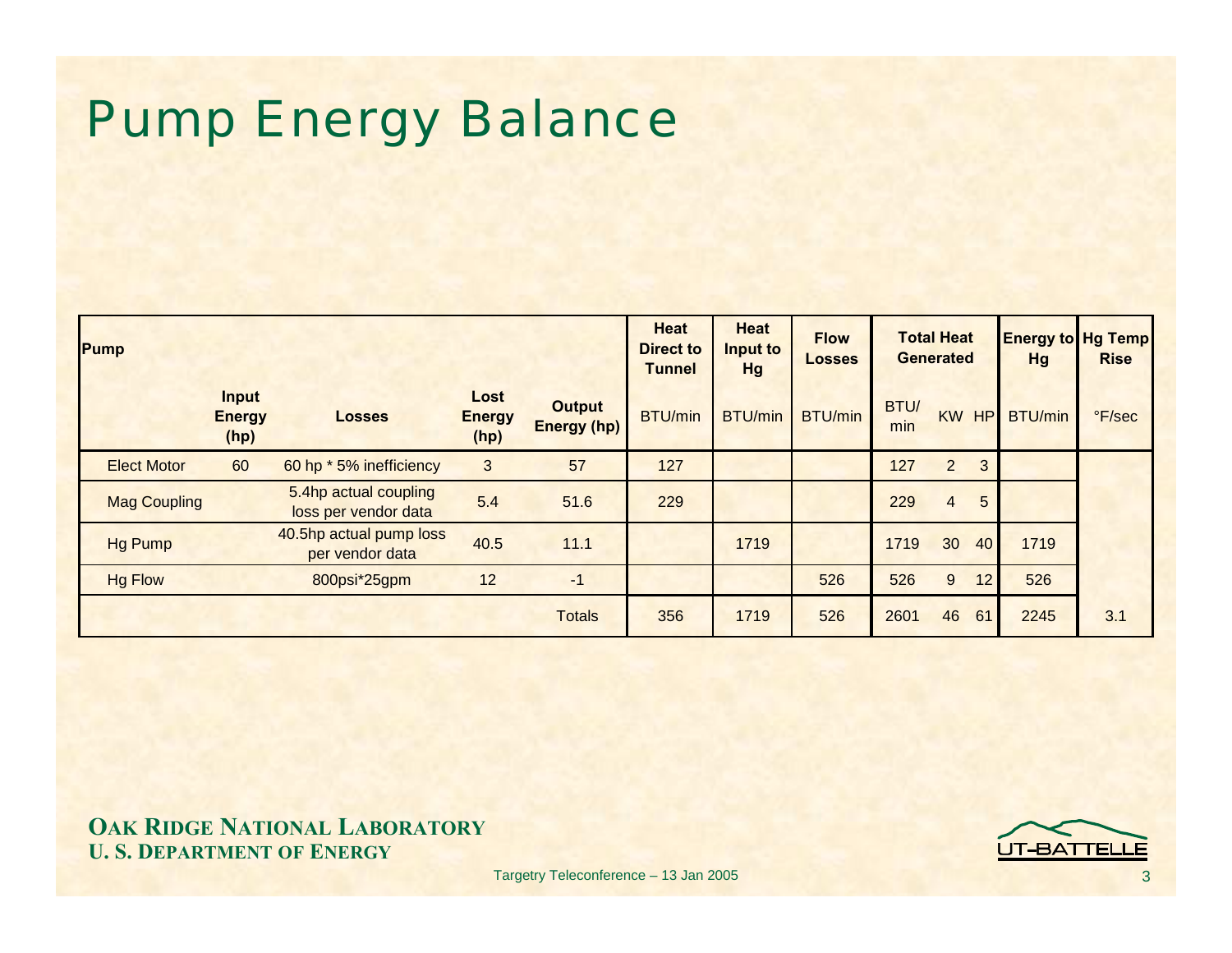# Pump Energy Balance

| Pump                |                                       |                                               |                               |                                     | <b>Heat</b><br><b>Direct to</b><br><b>Tunnel</b> | <b>Heat</b><br>Input to<br><b>Hg</b> | <b>Flow</b><br><b>Losses</b> | <b>Total Heat</b><br><b>Generated</b> |                                   | <b>Hg</b>      | <b>Energy to Hg Temp</b><br><b>Rise</b> |
|---------------------|---------------------------------------|-----------------------------------------------|-------------------------------|-------------------------------------|--------------------------------------------------|--------------------------------------|------------------------------|---------------------------------------|-----------------------------------|----------------|-----------------------------------------|
|                     | <b>Input</b><br><b>Energy</b><br>(hp) | <b>Losses</b>                                 | Lost<br><b>Energy</b><br>(hp) | <b>Output</b><br><b>Energy (hp)</b> | <b>BTU/min</b>                                   | <b>BTU/min</b>                       | BTU/min                      | BTU/<br>min                           | <b>KW</b><br>HP                   | <b>BTU/min</b> | °F/sec                                  |
| <b>Elect Motor</b>  | 60                                    | 60 hp * 5% inefficiency                       | 3                             | 57                                  | 127                                              |                                      |                              | 127                                   | $\overline{2}$<br>3               |                |                                         |
| <b>Mag Coupling</b> |                                       | 5.4hp actual coupling<br>loss per vendor data | 5.4                           | 51.6                                | 229                                              |                                      |                              | 229                                   | $5\overline{)}$<br>$\overline{4}$ |                |                                         |
| <b>Hg Pump</b>      |                                       | 40.5hp actual pump loss<br>per vendor data    | 40.5                          | 11.1                                |                                                  | 1719                                 |                              | 1719                                  | 30<br>40                          | 1719           |                                         |
| <b>Hg Flow</b>      |                                       | 800psi*25gpm                                  | 12                            | $-1$                                |                                                  |                                      | 526                          | 526                                   | 9<br>12                           | 526            |                                         |
|                     |                                       |                                               |                               | <b>Totals</b>                       | 356                                              | 1719                                 | 526                          | 2601                                  | 46<br>61                          | 2245           | 3.1                                     |

**OAK RIDGE NATIONAL LABORATORY U. S. DEPARTMENT OF ENERGY**

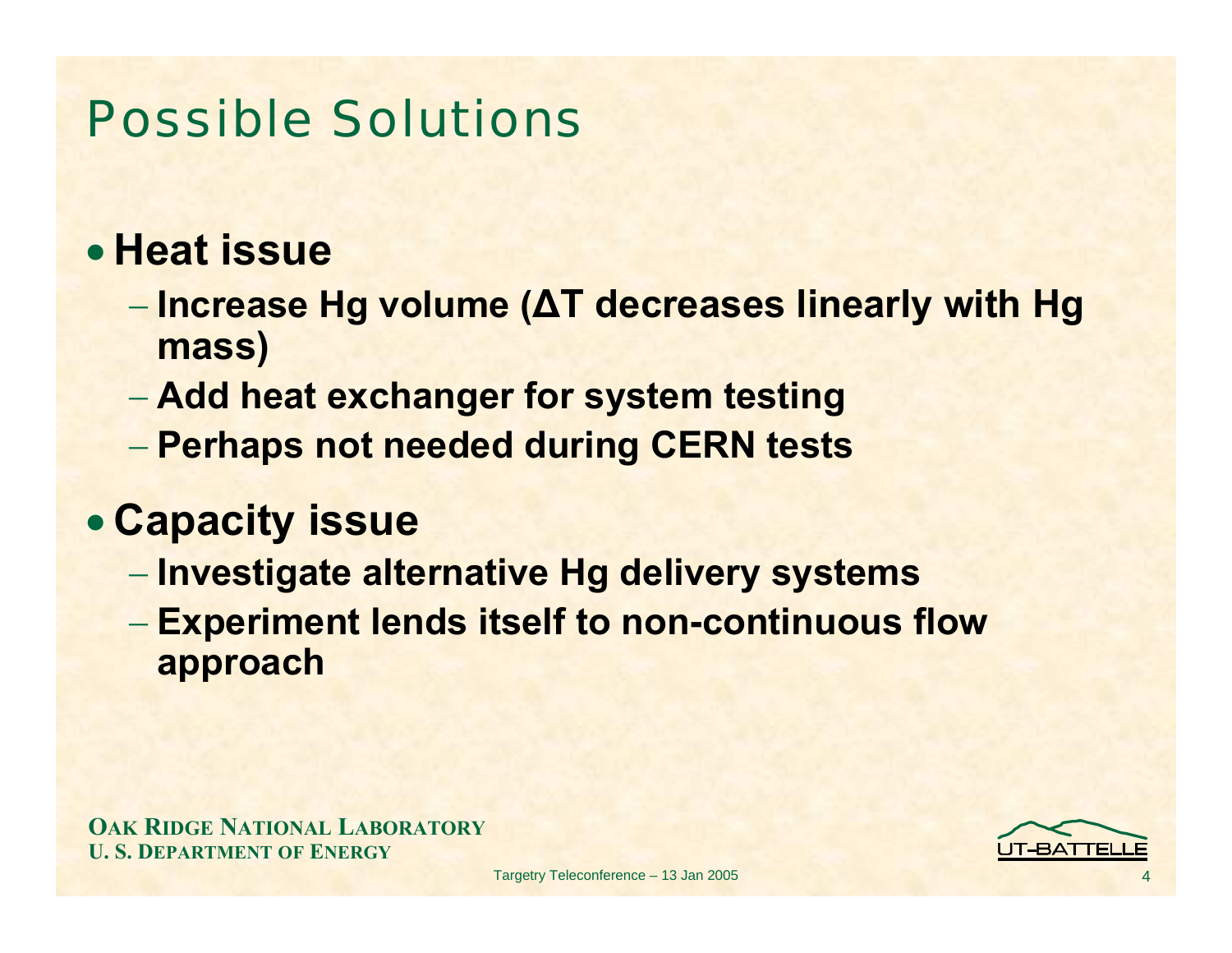### Possible Solutions

#### • **Heat issue**

- **Increase Hg volume (∆T decreases linearly with Hg mass)**
- **Add heat exchanger for system testing**
- **Perhaps not needed during CERN tests**

#### • **Capacity issue**

- **Investigate alternative Hg delivery systems**
- **Experiment lends itself to non-continuous flow approach**

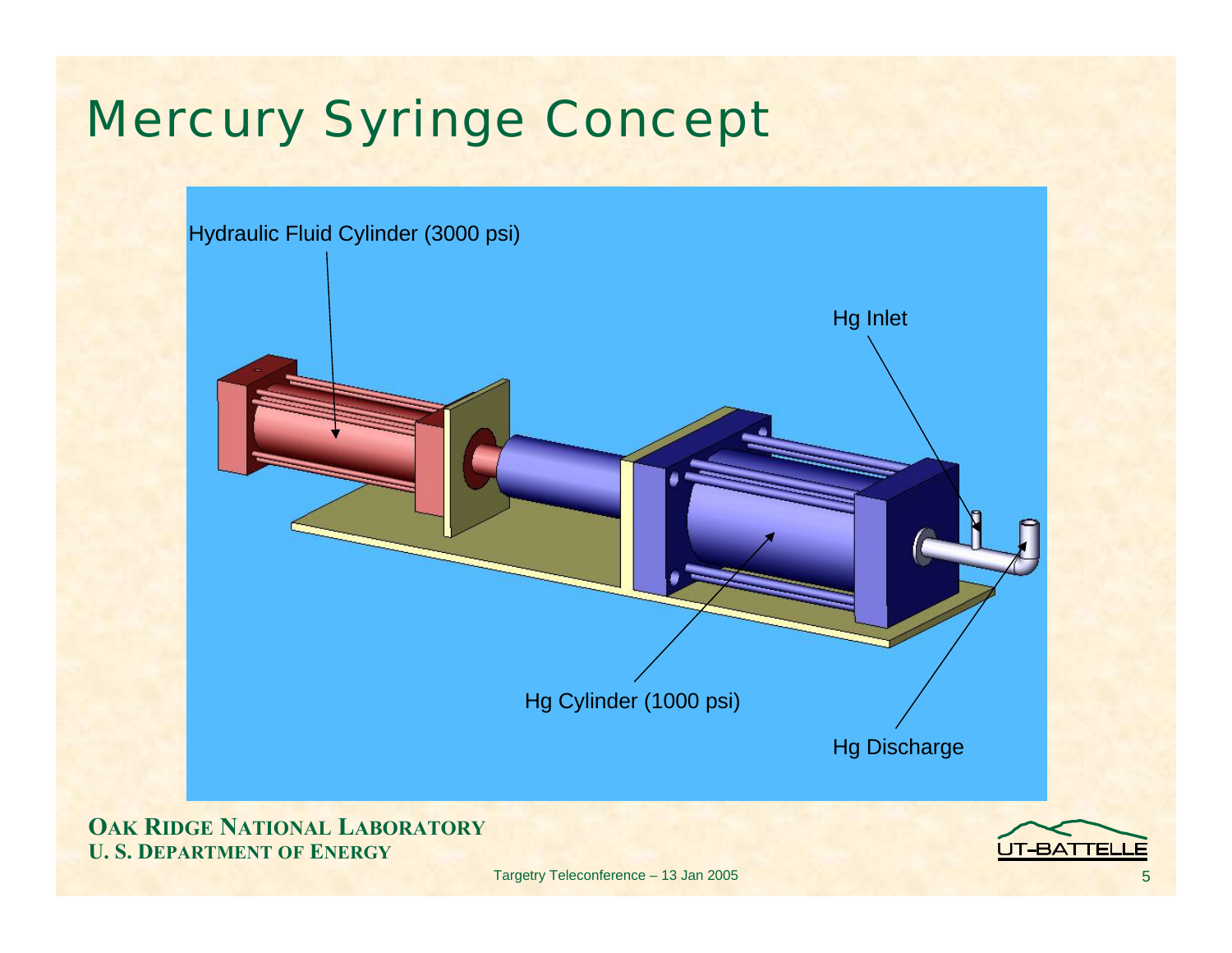# Mercury Syringe Concept



**OAK RIDGE NATIONAL LABORATORY U. S. DEPARTMENT OF ENERGY**

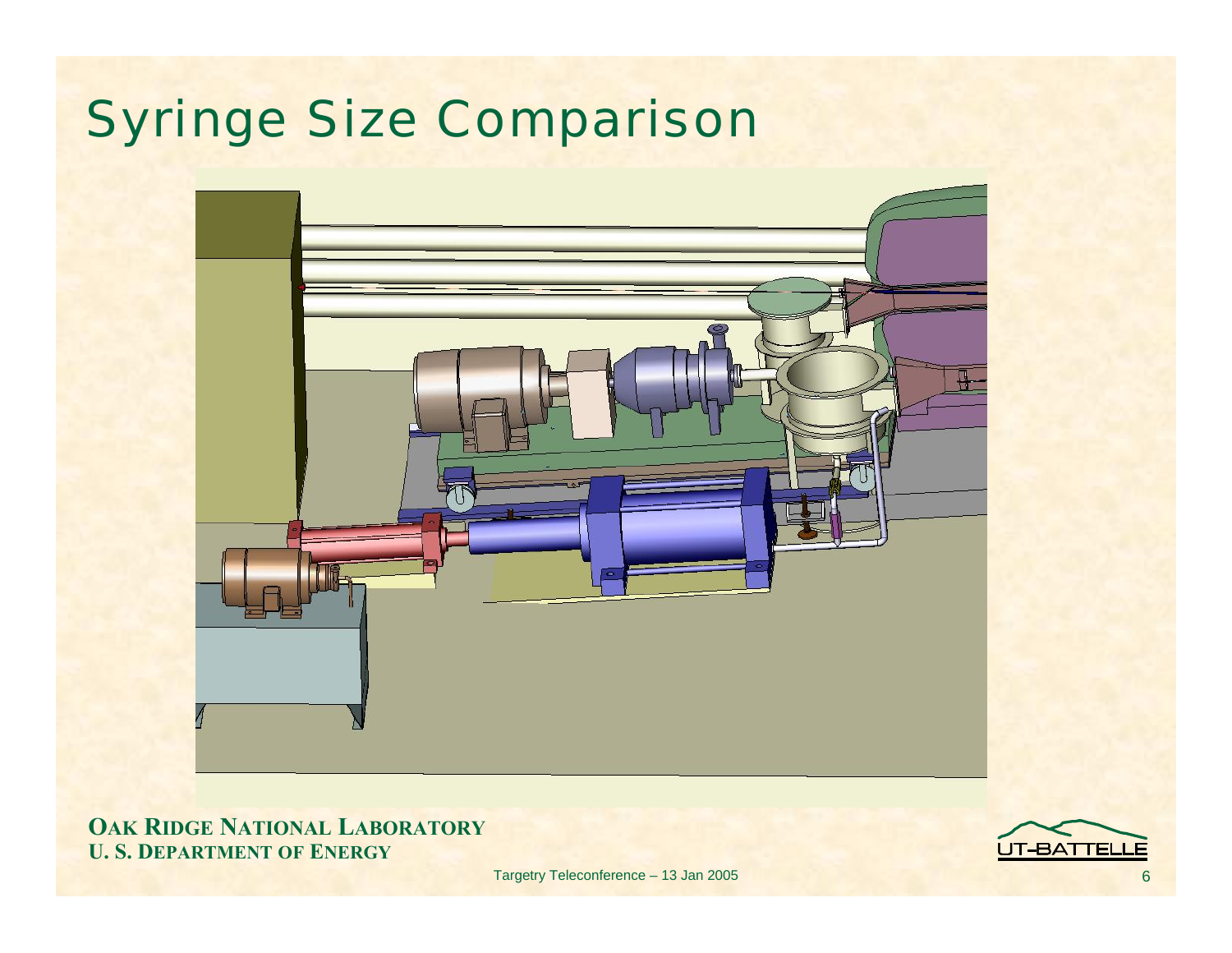# Syringe Size Comparison



**OAK RIDGE NATIONAL LABORATORY U. S. DEPARTMENT OF ENERGY**

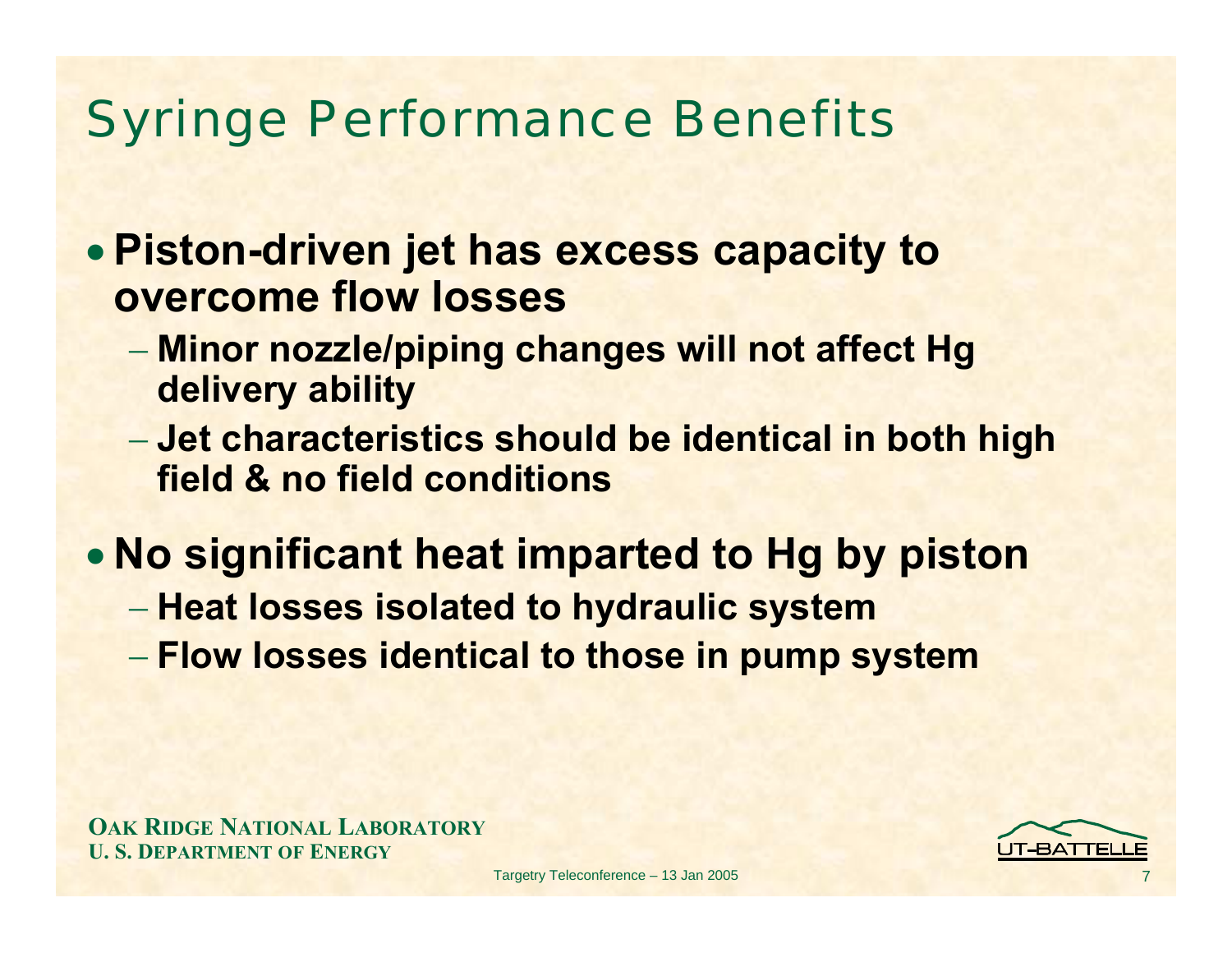### Syringe Performance Benefits

- **Piston-driven jet has excess capacity to overcome flow losses**
	- **Minor nozzle/piping changes will not affect Hg delivery ability**
	- **Jet characteristics should be identical in both high field & no field conditions**
- **No significant heat imparted to Hg by piston**
	- **Heat losses isolated to hydraulic system**
	- **Flow losses identical to those in pump system**

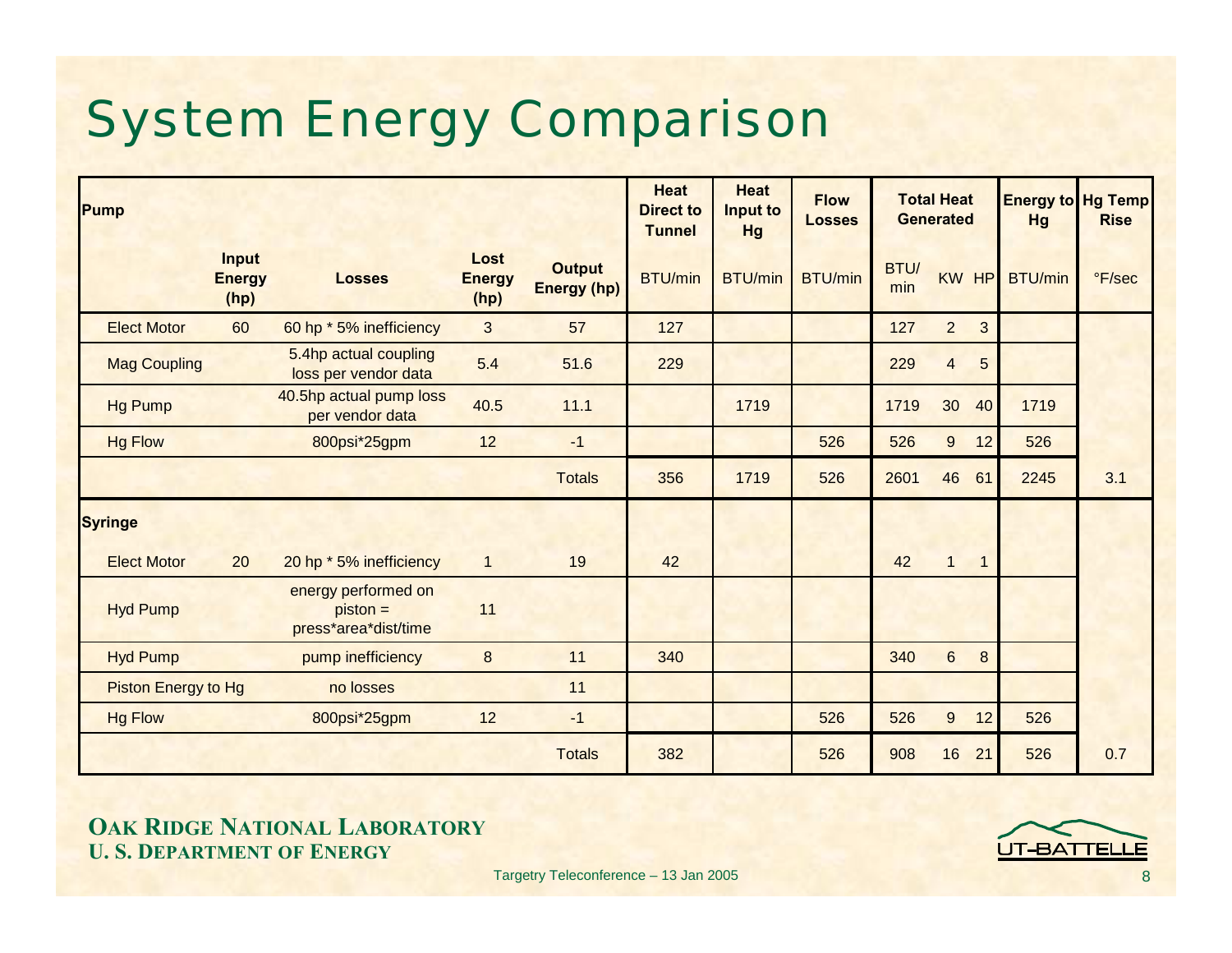# System Energy Comparison

| Pump                       |                                       |                                                           |                               |                                     | <b>Heat</b><br><b>Direct to</b><br><b>Tunnel</b> | <b>Heat</b><br>Input to<br><b>Hg</b> | <b>Flow</b><br><b>Losses</b> |             | <b>Total Heat</b><br><b>Generated</b> | Hg             | <b>Energy to Hg Temp</b><br><b>Rise</b> |
|----------------------------|---------------------------------------|-----------------------------------------------------------|-------------------------------|-------------------------------------|--------------------------------------------------|--------------------------------------|------------------------------|-------------|---------------------------------------|----------------|-----------------------------------------|
|                            | <b>Input</b><br><b>Energy</b><br>(hp) | <b>Losses</b>                                             | Lost<br><b>Energy</b><br>(hp) | <b>Output</b><br><b>Energy (hp)</b> | <b>BTU/min</b>                                   | <b>BTU/min</b>                       | <b>BTU/min</b>               | BTU/<br>min | <b>KW</b><br>HP                       | <b>BTU/min</b> | °F/sec                                  |
| <b>Elect Motor</b>         | 60                                    | 60 hp * 5% inefficiency                                   | 3                             | 57                                  | 127                                              |                                      |                              | 127         | $\overline{2}$<br>3                   |                |                                         |
| <b>Mag Coupling</b>        |                                       | 5.4hp actual coupling<br>loss per vendor data             | 5.4                           | 51.6                                | 229                                              |                                      |                              | 229         | $5\phantom{.0}$<br>$\overline{4}$     |                |                                         |
| <b>Hg Pump</b>             |                                       | 40.5hp actual pump loss<br>per vendor data                | 40.5                          | 11.1                                |                                                  | 1719                                 |                              | 1719        | 30<br>40                              | 1719           |                                         |
| <b>Hg Flow</b>             |                                       | 800psi*25gpm                                              | 12                            | $-1$                                |                                                  |                                      | 526                          | 526         | $\boldsymbol{9}$<br>12                | 526            |                                         |
|                            |                                       |                                                           |                               | <b>Totals</b>                       | 356                                              | 1719                                 | 526                          | 2601        | 46<br>61                              | 2245           | 3.1                                     |
| <b>Syringe</b>             |                                       |                                                           |                               |                                     |                                                  |                                      |                              |             |                                       |                |                                         |
| <b>Elect Motor</b>         | 20                                    | 20 hp * 5% inefficiency                                   | $\mathbf{1}$                  | 19                                  | 42                                               |                                      |                              | 42          | $\mathbf{1}$<br>$\mathbf{1}$          |                |                                         |
| <b>Hyd Pump</b>            |                                       | energy performed on<br>$piston =$<br>press*area*dist/time | 11                            |                                     |                                                  |                                      |                              |             |                                       |                |                                         |
| <b>Hyd Pump</b>            |                                       | pump inefficiency                                         | $\boldsymbol{8}$              | 11                                  | 340                                              |                                      |                              | 340         | $6\phantom{1}$<br>8                   |                |                                         |
| <b>Piston Energy to Hg</b> |                                       | no losses                                                 |                               | 11                                  |                                                  |                                      |                              |             |                                       |                |                                         |
| <b>Hg Flow</b>             |                                       | 800psi*25gpm                                              | 12                            | $-1$                                |                                                  |                                      | 526                          | 526         | $9\,$<br>12                           | 526            |                                         |
|                            |                                       |                                                           |                               | <b>Totals</b>                       | 382                                              |                                      | 526                          | 908         | 16<br>21                              | 526            | 0.7                                     |

**OAK RIDGE NATIONAL LABORATORY U. S. DEPARTMENT OF ENERGY**

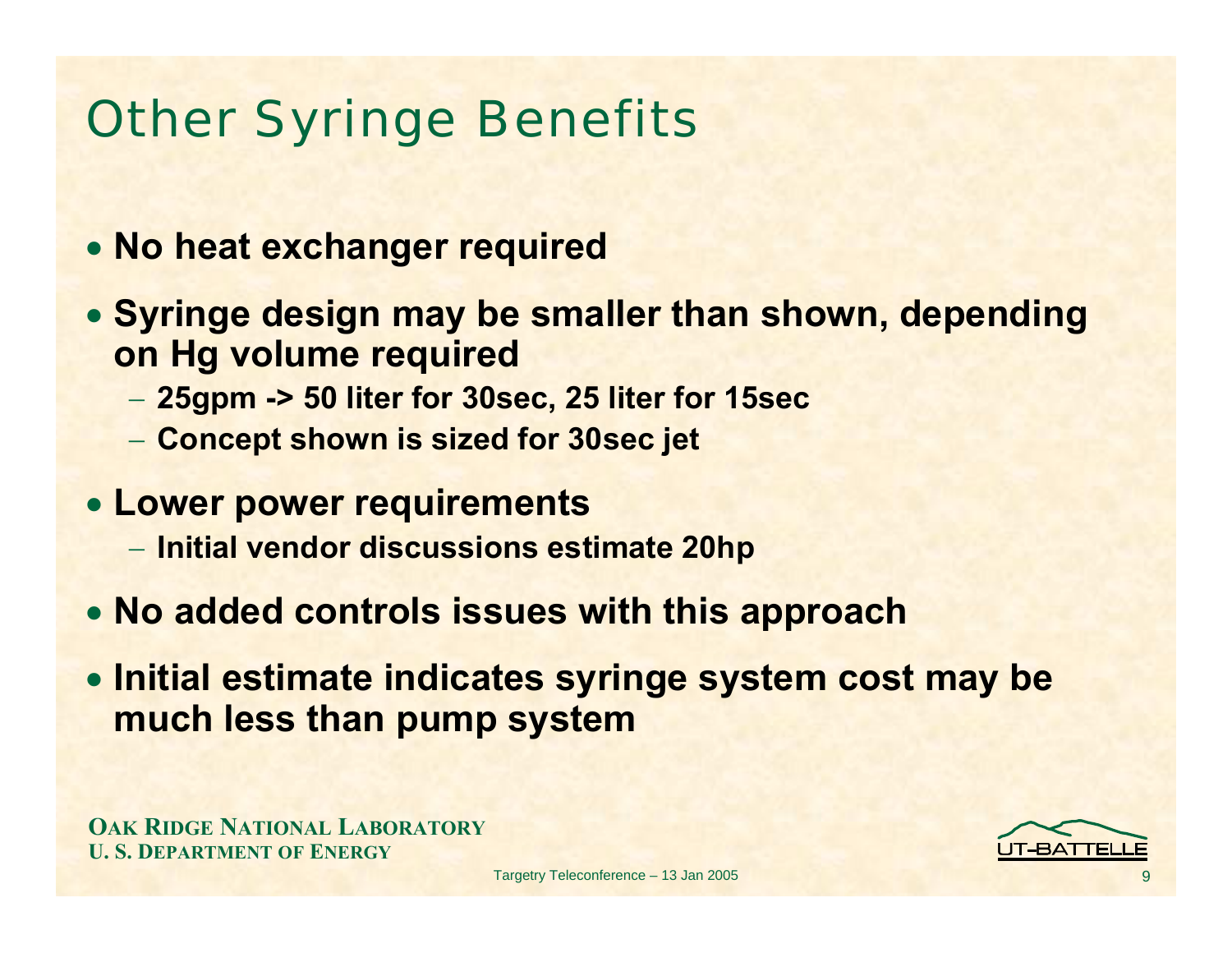# Other Syringe Benefits

- **No heat exchanger required**
- **Syringe design may be smaller than shown, depending on Hg volume required**
	- **25gpm -> 50 liter for 30sec, 25 liter for 15sec**
	- **Concept shown is sized for 30sec jet**
- **Lower power requirements**
	- **Initial vendor discussions estimate 20hp**
- **No added controls issues with this approach**
- **Initial estimate indicates syringe system cost may be much less than pump system**

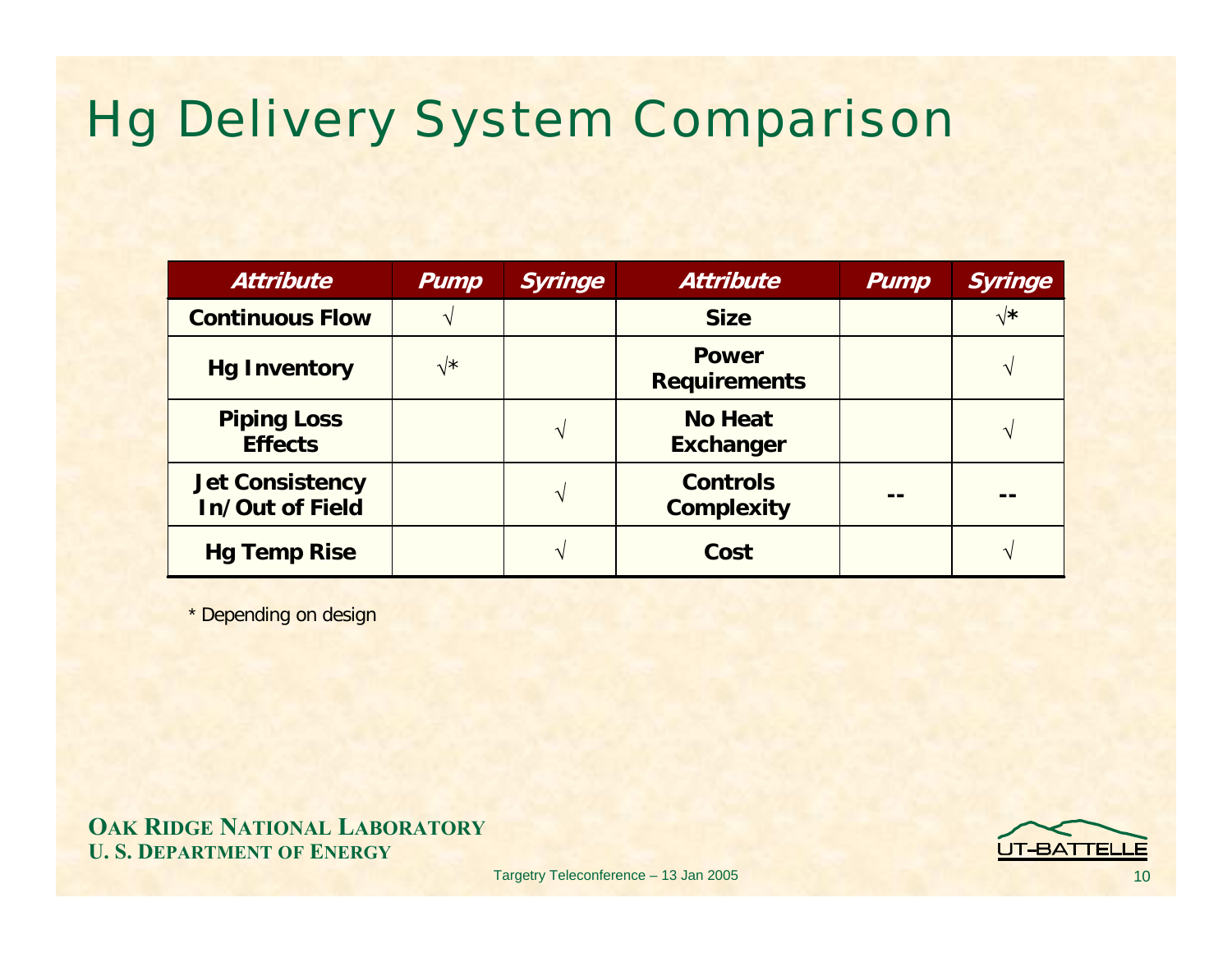### Hg Delivery System Comparison

| <b>Attribute</b>                                 | Pump           | <b>Syringe</b> | <b>Attribute</b>                     | <b>Pump</b> | Syringe        |  |
|--------------------------------------------------|----------------|----------------|--------------------------------------|-------------|----------------|--|
| <b>Continuous Flow</b>                           |                |                | <b>Size</b>                          |             | $\sqrt{\star}$ |  |
| <b>Hg Inventory</b>                              | $\sqrt{\star}$ |                | <b>Power</b><br><b>Requirements</b>  |             |                |  |
| <b>Piping Loss</b><br><b>Effects</b>             |                | $\mathbf{v}$   | <b>No Heat</b><br><b>Exchanger</b>   |             |                |  |
| <b>Jet Consistency</b><br><b>In/Out of Field</b> |                | $\mathbf{v}$   | <b>Controls</b><br><b>Complexity</b> |             |                |  |
| <b>Hg Temp Rise</b>                              |                |                | Cost                                 |             |                |  |

\* Depending on design

**OAK RIDGE NATIONAL LABORATORY U. S. DEPARTMENT OF ENERGY**

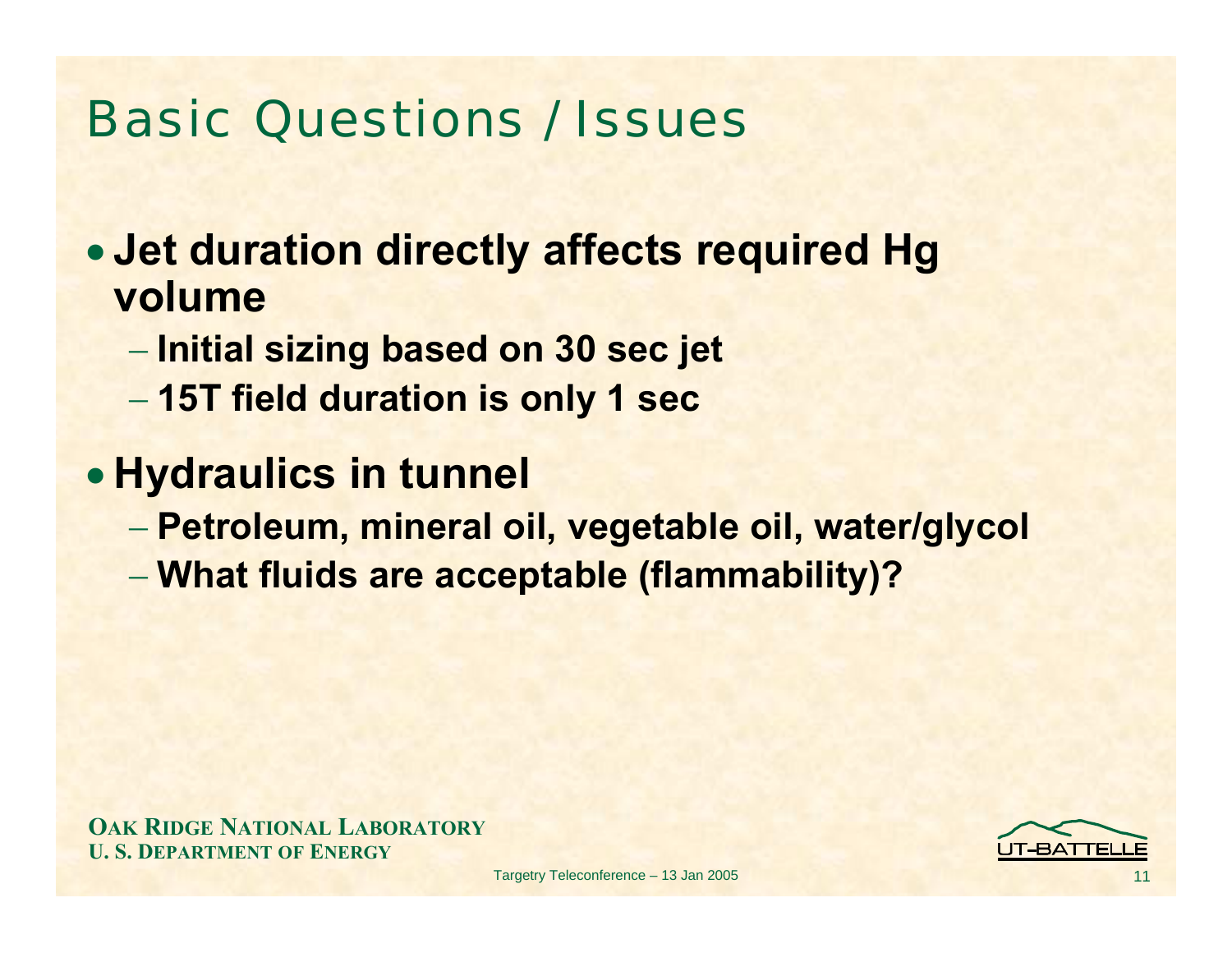### Basic Questions / Issues

• **Jet duration directly affects required Hg volume** 

- **Initial sizing based on 30 sec jet**
- **15T field duration is only 1 sec**

#### • **Hydraulics in tunnel**

- **Petroleum, mineral oil, vegetable oil, water/glycol**
- **What fluids are acceptable (flammability)?**